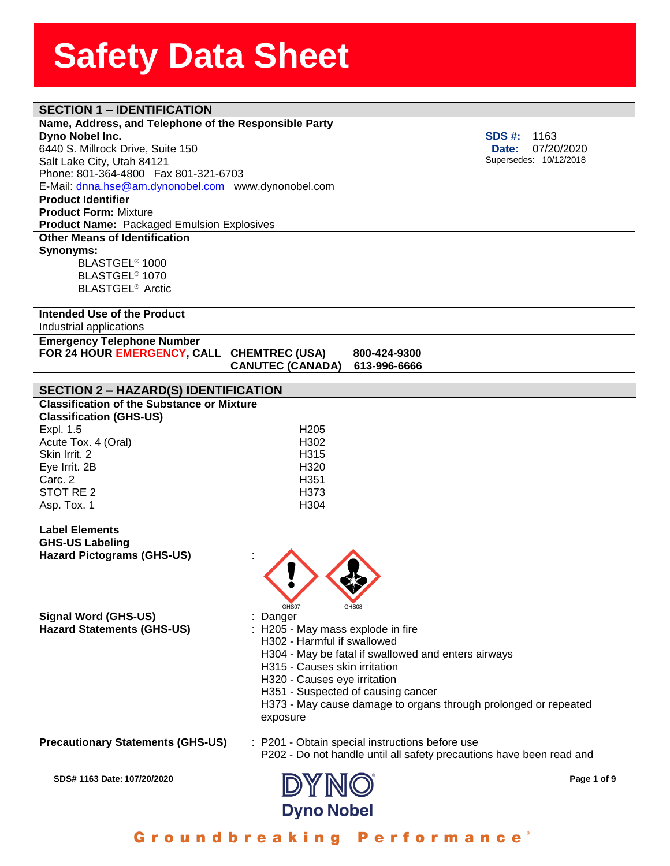| <b>SECTION 1 - IDENTIFICATION</b>                                                         |                                    |                                                                      |             |
|-------------------------------------------------------------------------------------------|------------------------------------|----------------------------------------------------------------------|-------------|
| Name, Address, and Telephone of the Responsible Party                                     |                                    |                                                                      |             |
| Dyno Nobel Inc.                                                                           |                                    | SDS #:<br>1163                                                       |             |
| 6440 S. Millrock Drive, Suite 150                                                         |                                    | <b>Date:</b>                                                         | 07/20/2020  |
| Salt Lake City, Utah 84121                                                                |                                    | Supersedes: 10/12/2018                                               |             |
| Phone: 801-364-4800  Fax 801-321-6703                                                     |                                    |                                                                      |             |
| E-Mail: dnna.hse@am.dynonobel.com www.dynonobel.com                                       |                                    |                                                                      |             |
| <b>Product Identifier</b>                                                                 |                                    |                                                                      |             |
| <b>Product Form: Mixture</b>                                                              |                                    |                                                                      |             |
| <b>Product Name: Packaged Emulsion Explosives</b><br><b>Other Means of Identification</b> |                                    |                                                                      |             |
|                                                                                           |                                    |                                                                      |             |
| Synonyms:<br>BLASTGEL <sup>®</sup> 1000                                                   |                                    |                                                                      |             |
| BLASTGEL <sup>®</sup> 1070                                                                |                                    |                                                                      |             |
| <b>BLASTGEL<sup>®</sup></b> Arctic                                                        |                                    |                                                                      |             |
|                                                                                           |                                    |                                                                      |             |
| Intended Use of the Product                                                               |                                    |                                                                      |             |
| Industrial applications                                                                   |                                    |                                                                      |             |
| <b>Emergency Telephone Number</b>                                                         |                                    |                                                                      |             |
| FOR 24 HOUR EMERGENCY, CALL CHEMTREC (USA)                                                |                                    | 800-424-9300                                                         |             |
|                                                                                           | <b>CANUTEC (CANADA)</b>            | 613-996-6666                                                         |             |
|                                                                                           |                                    |                                                                      |             |
| <b>SECTION 2 - HAZARD(S) IDENTIFICATION</b>                                               |                                    |                                                                      |             |
| <b>Classification of the Substance or Mixture</b>                                         |                                    |                                                                      |             |
| <b>Classification (GHS-US)</b>                                                            |                                    |                                                                      |             |
| Expl. 1.5                                                                                 | H <sub>205</sub>                   |                                                                      |             |
| Acute Tox. 4 (Oral)                                                                       | H302                               |                                                                      |             |
| Skin Irrit, 2                                                                             | H <sub>315</sub>                   |                                                                      |             |
| Eye Irrit. 2B<br>Carc. 2                                                                  | H320<br>H <sub>351</sub>           |                                                                      |             |
| STOT RE <sub>2</sub>                                                                      | H373                               |                                                                      |             |
| Asp. Tox. 1                                                                               | H304                               |                                                                      |             |
|                                                                                           |                                    |                                                                      |             |
| <b>Label Elements</b>                                                                     |                                    |                                                                      |             |
| <b>GHS-US Labeling</b>                                                                    |                                    |                                                                      |             |
| <b>Hazard Pictograms (GHS-US)</b>                                                         |                                    |                                                                      |             |
|                                                                                           |                                    |                                                                      |             |
|                                                                                           |                                    |                                                                      |             |
|                                                                                           |                                    |                                                                      |             |
|                                                                                           | GHS07<br>GHS08                     |                                                                      |             |
| Signal Word (GHS-US)                                                                      | : Danger                           |                                                                      |             |
| <b>Hazard Statements (GHS-US)</b>                                                         | : H205 - May mass explode in fire  |                                                                      |             |
|                                                                                           | H302 - Harmful if swallowed        |                                                                      |             |
|                                                                                           |                                    | H304 - May be fatal if swallowed and enters airways                  |             |
|                                                                                           | H315 - Causes skin irritation      |                                                                      |             |
|                                                                                           | H320 - Causes eye irritation       |                                                                      |             |
|                                                                                           | H351 - Suspected of causing cancer |                                                                      |             |
|                                                                                           |                                    | H373 - May cause damage to organs through prolonged or repeated      |             |
|                                                                                           | exposure                           |                                                                      |             |
| <b>Precautionary Statements (GHS-US)</b>                                                  |                                    | : P201 - Obtain special instructions before use                      |             |
|                                                                                           |                                    | P202 - Do not handle until all safety precautions have been read and |             |
|                                                                                           |                                    |                                                                      |             |
| SDS# 1163 Date: 107/20/2020                                                               |                                    |                                                                      | Page 1 of 9 |
|                                                                                           | DYNO                               |                                                                      |             |
|                                                                                           |                                    |                                                                      |             |
|                                                                                           | <b>Dyno Nobel</b>                  |                                                                      |             |

Groundbreaking Performance<sup>®</sup>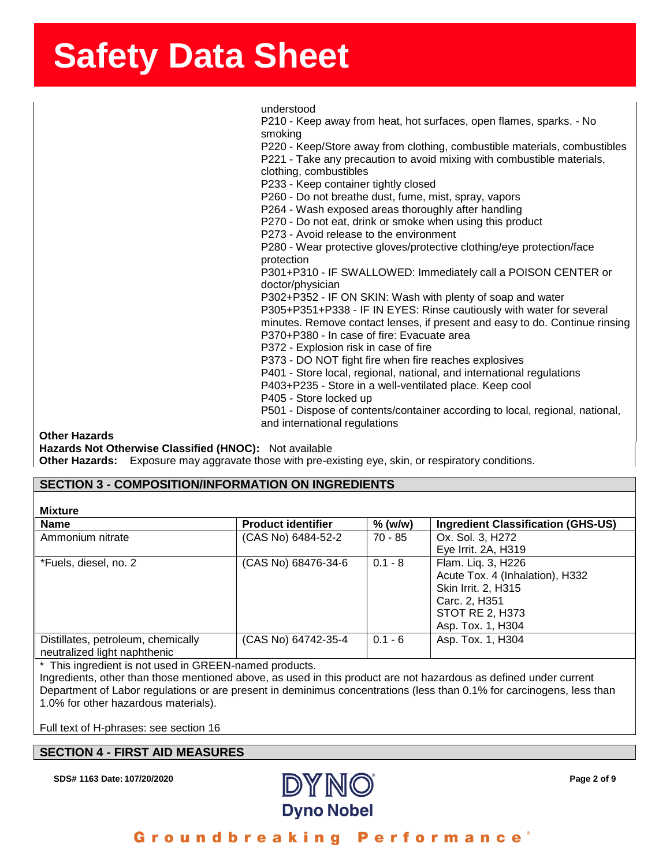ssense in der Staatsbeeld in der Staatsbeeld in der Staatsbeeld in der Staatsbeeld in der Staatsbeeld in der S<br>SherrSheet SherrSheet SherrSheet SherrSheet SherrSheet SherrSheet SherrSheet SherrSheet SherrSheet SherrSheet<br>S understood

P210 - Keep away from heat, hot surfaces, open flames, sparks. - No smoking P220 - Keep/Store away from clothing, combustible materials, combustibles P221 - Take any precaution to avoid mixing with combustible materials, clothing, combustibles P233 - Keep container tightly closed P260 - Do not breathe dust, fume, mist, spray, vapors P264 - Wash exposed areas thoroughly after handling P270 - Do not eat, drink or smoke when using this product P273 - Avoid release to the environment P280 - Wear protective gloves/protective clothing/eye protection/face protection P301+P310 - IF SWALLOWED: Immediately call a POISON CENTER or doctor/physician P302+P352 - IF ON SKIN: Wash with plenty of soap and water P305+P351+P338 - IF IN EYES: Rinse cautiously with water for several minutes. Remove contact lenses, if present and easy to do. Continue rinsing P370+P380 - In case of fire: Evacuate area P372 - Explosion risk in case of fire P373 - DO NOT fight fire when fire reaches explosives P401 - Store local, regional, national, and international regulations P403+P235 - Store in a well-ventilated place. Keep cool P405 - Store locked up P501 - Dispose of contents/container according to local, regional, national, and international regulations

**Other Hazards**

**Hazards Not Otherwise Classified (HNOC):** Not available **Other Hazards:** Exposure may aggravate those with pre-existing eye, skin, or respiratory conditions.

### **SECTION 3 - COMPOSITION/INFORMATION ON INGREDIENTS**

| Mixture |  |
|---------|--|
|---------|--|

| .                                  |                           |           |                                           |  |
|------------------------------------|---------------------------|-----------|-------------------------------------------|--|
| <b>Name</b>                        | <b>Product identifier</b> | $%$ (w/w) | <b>Ingredient Classification (GHS-US)</b> |  |
| Ammonium nitrate                   | (CAS No) 6484-52-2        | 70 - 85   | Ox. Sol. 3, H272                          |  |
|                                    |                           |           | Eye Irrit. 2A, H319                       |  |
| *Fuels, diesel, no. 2              | (CAS No) 68476-34-6       | $0.1 - 8$ | Flam. Liq. 3, H226                        |  |
|                                    |                           |           | Acute Tox. 4 (Inhalation), H332           |  |
|                                    |                           |           | Skin Irrit. 2, H315                       |  |
|                                    |                           |           | Carc. 2, H351                             |  |
|                                    |                           |           | <b>STOT RE 2, H373</b>                    |  |
|                                    |                           |           | Asp. Tox. 1, H304                         |  |
| Distillates, petroleum, chemically | (CAS No) 64742-35-4       | $0.1 - 6$ | Asp. Tox. 1, H304                         |  |
| neutralized light naphthenic       |                           |           |                                           |  |
|                                    |                           |           |                                           |  |

\* This ingredient is not used in GREEN-named products.

Ingredients, other than those mentioned above, as used in this product are not hazardous as defined under current Department of Labor regulations or are present in deminimus concentrations (less than 0.1% for carcinogens, less than 1.0% for other hazardous materials).

Full text of H-phrases: see section 16

#### **SECTION 4 - FIRST AID MEASURES**

**SDS# 1163 Date: 107/20/2020 Page 2 of 9**

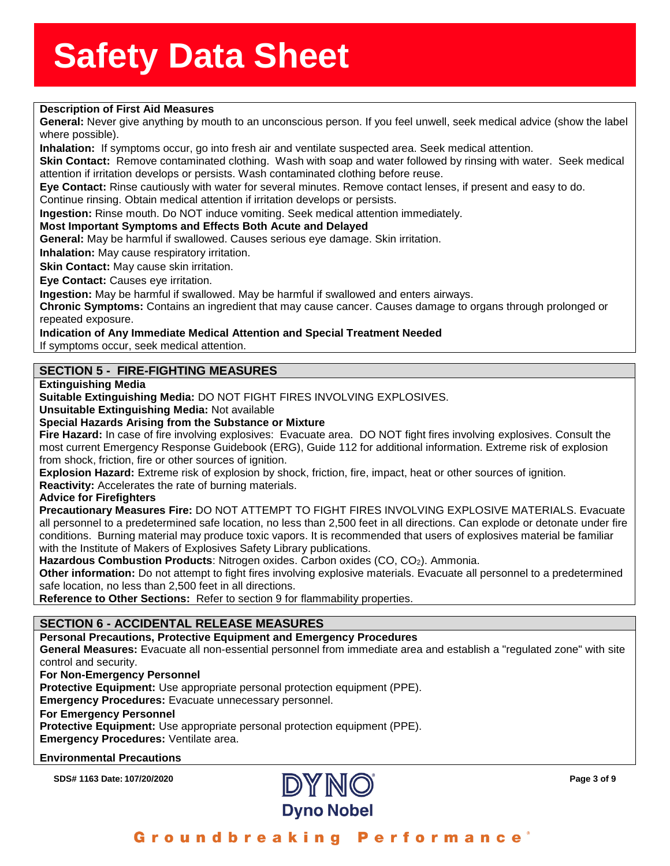### **Solution of First Aid Measures**<br> **Description of First Aid Measures**

**Generai:** Never give anything by mouth to an unconscious person. If you feel unwell, seek medical adv<br>where possible).<br>**Inhalation:** If symptoms occur, go into fresh air and ventilate suspected area. Seek medical attentio **General:** Never give anything by mouth to an unconscious person. If you feel unwell, seek medical advice (show the label where possible).

**Skin Contact:** Remove contaminated clothing. Wash with soap and water followed by rinsing with water. Seek medical attention if irritation develops or persists. Wash contaminated clothing before reuse.

**Eye Contact:** Rinse cautiously with water for several minutes. Remove contact lenses, if present and easy to do. Continue rinsing. Obtain medical attention if irritation develops or persists.

**Ingestion:** Rinse mouth. Do NOT induce vomiting. Seek medical attention immediately.

#### **Most Important Symptoms and Effects Both Acute and Delayed**

**General:** May be harmful if swallowed. Causes serious eye damage. Skin irritation.

**Inhalation:** May cause respiratory irritation.

**Skin Contact:** May cause skin irritation.

**Eye Contact:** Causes eye irritation.

**Ingestion:** May be harmful if swallowed. May be harmful if swallowed and enters airways.

**Chronic Symptoms:** Contains an ingredient that may cause cancer. Causes damage to organs through prolonged or repeated exposure.

#### **Indication of Any Immediate Medical Attention and Special Treatment Needed**

If symptoms occur, seek medical attention.

### **SECTION 5 - FIRE-FIGHTING MEASURES**

**Extinguishing Media**

**Suitable Extinguishing Media:** DO NOT FIGHT FIRES INVOLVING EXPLOSIVES.

**Unsuitable Extinguishing Media:** Not available

#### **Special Hazards Arising from the Substance or Mixture**

**Fire Hazard:** In case of fire involving explosives: Evacuate area. DO NOT fight fires involving explosives. Consult the most current Emergency Response Guidebook (ERG), Guide 112 for additional information. Extreme risk of explosion from shock, friction, fire or other sources of ignition.

**Explosion Hazard:** Extreme risk of explosion by shock, friction, fire, impact, heat or other sources of ignition.

**Reactivity:** Accelerates the rate of burning materials.

**Advice for Firefighters**

**Precautionary Measures Fire:** DO NOT ATTEMPT TO FIGHT FIRES INVOLVING EXPLOSIVE MATERIALS. Evacuate all personnel to a predetermined safe location, no less than 2,500 feet in all directions. Can explode or detonate under fire conditions. Burning material may produce toxic vapors. It is recommended that users of explosives material be familiar with the Institute of Makers of Explosives Safety Library publications.

**Hazardous Combustion Products**: Nitrogen oxides. Carbon oxides (CO, CO2). Ammonia.

**Other information:** Do not attempt to fight fires involving explosive materials. Evacuate all personnel to a predetermined safe location, no less than 2,500 feet in all directions.

**Reference to Other Sections:** Refer to section 9 for flammability properties.

### **SECTION 6 - ACCIDENTAL RELEASE MEASURES**

#### **Personal Precautions, Protective Equipment and Emergency Procedures**

**General Measures:** Evacuate all non-essential personnel from immediate area and establish a "regulated zone" with site control and security.

#### **For Non-Emergency Personnel**

**Protective Equipment:** Use appropriate personal protection equipment (PPE).

**Emergency Procedures:** Evacuate unnecessary personnel.

#### **For Emergency Personnel**

**Protective Equipment:** Use appropriate personal protection equipment (PPE).

**Emergency Procedures:** Ventilate area.

#### **Environmental Precautions**

**SDS# 1163 Date: 107/20/2020 Page 3 of 9**

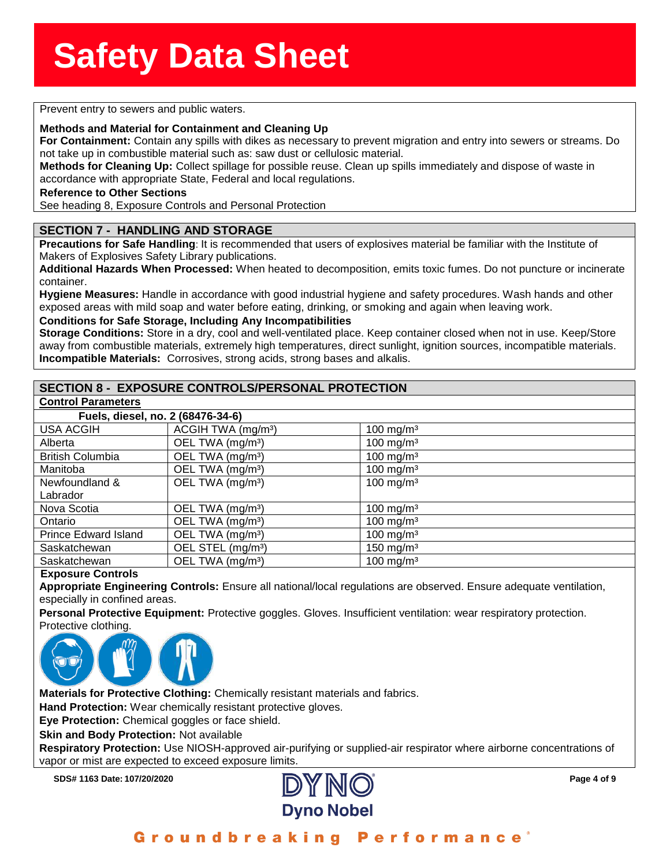### **Solution**<br>
Prevent entry to sewers and public waters.

**Methods and Material for Containment and Cleaning Up**<br>**For Containment:** Contain any spills with dikes as necessare<br>not take up in combustible material such as: saw dust or cell **For Containment:** Contain any spills with dikes as necessary to prevent migration and entry into sewers or streams. Do not take up in combustible material such as: saw dust or cellulosic material.

**Methods for Cleaning Up:** Collect spillage for possible reuse. Clean up spills immediately and dispose of waste in accordance with appropriate State, Federal and local regulations.

#### **Reference to Other Sections**

See heading 8, Exposure Controls and Personal Protection

#### **SECTION 7 - HANDLING AND STORAGE**

**Precautions for Safe Handling**: It is recommended that users of explosives material be familiar with the Institute of Makers of Explosives Safety Library publications.

**Additional Hazards When Processed:** When heated to decomposition, emits toxic fumes. Do not puncture or incinerate container.

**Hygiene Measures:** Handle in accordance with good industrial hygiene and safety procedures. Wash hands and other exposed areas with mild soap and water before eating, drinking, or smoking and again when leaving work.

#### **Conditions for Safe Storage, Including Any Incompatibilities**

**Storage Conditions:** Store in a dry, cool and well-ventilated place. Keep container closed when not in use. Keep/Store away from combustible materials, extremely high temperatures, direct sunlight, ignition sources, incompatible materials. **Incompatible Materials:** Corrosives, strong acids, strong bases and alkalis.

#### **SECTION 8 - EXPOSURE CONTROLS/PERSONAL PROTECTION**

| <b>Control Parameters</b>         |                                |                      |  |  |
|-----------------------------------|--------------------------------|----------------------|--|--|
| Fuels, diesel, no. 2 (68476-34-6) |                                |                      |  |  |
| <b>USA ACGIH</b>                  | ACGIH TWA (mg/m <sup>3</sup> ) | 100 mg/m $3$         |  |  |
| Alberta                           | OEL TWA (mg/m <sup>3</sup> )   | 100 mg/m $3$         |  |  |
| <b>British Columbia</b>           | OEL TWA (mg/m <sup>3</sup> )   | 100 mg/m $3$         |  |  |
| Manitoba                          | OEL TWA (mg/m <sup>3</sup> )   | 100 mg/m $3$         |  |  |
| Newfoundland &                    | OEL TWA (mg/m <sup>3</sup> )   | 100 mg/m $3$         |  |  |
| Labrador                          |                                |                      |  |  |
| Nova Scotia                       | OEL TWA (mg/m <sup>3</sup> )   | 100 mg/m $3$         |  |  |
| Ontario                           | OEL TWA (mg/m <sup>3</sup> )   | 100 mg/m $3$         |  |  |
| <b>Prince Edward Island</b>       | OEL TWA (mg/m <sup>3</sup> )   | $100 \text{ mg/m}^3$ |  |  |
| Saskatchewan                      | OEL STEL (mg/m <sup>3</sup> )  | 150 mg/m $3$         |  |  |
| Saskatchewan                      | OEL TWA (mg/m <sup>3</sup> )   | 100 mg/m $3$         |  |  |

#### **Exposure Controls**

**Appropriate Engineering Controls:** Ensure all national/local regulations are observed. Ensure adequate ventilation, especially in confined areas.

**Personal Protective Equipment:** Protective goggles. Gloves. Insufficient ventilation: wear respiratory protection. Protective clothing.



**Materials for Protective Clothing:** Chemically resistant materials and fabrics.

**Hand Protection:** Wear chemically resistant protective gloves.

**Eye Protection:** Chemical goggles or face shield.

**Skin and Body Protection:** Not available

**Respiratory Protection:** Use NIOSH-approved air-purifying or supplied-air respirator where airborne concentrations of vapor or mist are expected to exceed exposure limits.

**SDS# 1163 Date: 107/20/2020 Page 4 of 9**



Groundbreaking Performance'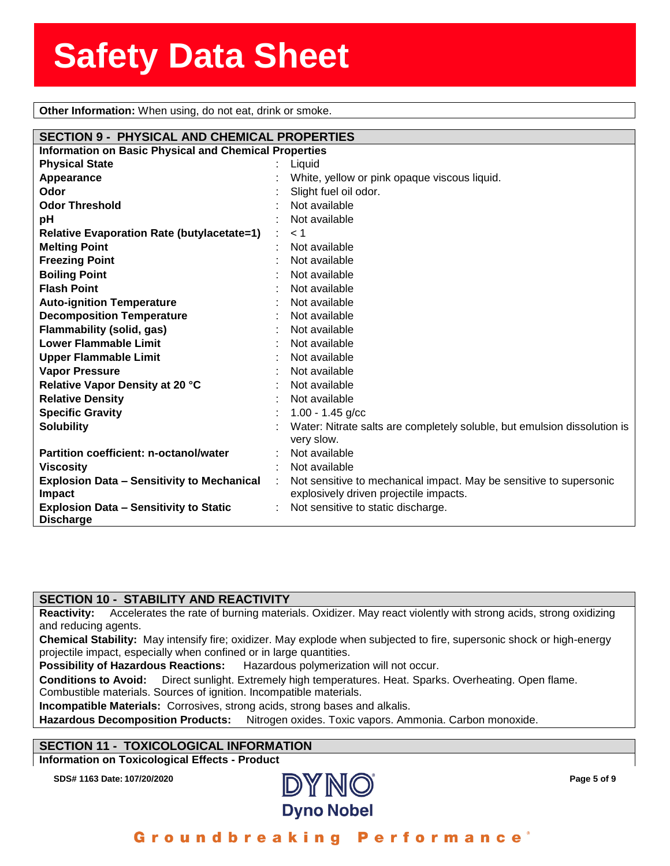**Solen Constructs**<br> **Other Information:** When using, do not eat, drink or smoke.

| <b>SECTION 9 - PHYSICAL AND CHEMICAL PROPERTIES</b>          |   |                                                                          |
|--------------------------------------------------------------|---|--------------------------------------------------------------------------|
| <b>Information on Basic Physical and Chemical Properties</b> |   |                                                                          |
| <b>Physical State</b>                                        |   | Liquid                                                                   |
| Appearance                                                   |   | White, yellow or pink opaque viscous liquid.                             |
| Odor                                                         |   | Slight fuel oil odor.                                                    |
| <b>Odor Threshold</b>                                        |   | Not available                                                            |
| pH                                                           |   | Not available                                                            |
| <b>Relative Evaporation Rate (butylacetate=1)</b>            | ÷ | < 1                                                                      |
| <b>Melting Point</b>                                         |   | Not available                                                            |
| <b>Freezing Point</b>                                        |   | Not available                                                            |
| <b>Boiling Point</b>                                         |   | Not available                                                            |
| <b>Flash Point</b>                                           |   | Not available                                                            |
| <b>Auto-ignition Temperature</b>                             |   | Not available                                                            |
| <b>Decomposition Temperature</b>                             |   | Not available                                                            |
| Flammability (solid, gas)                                    |   | Not available                                                            |
| <b>Lower Flammable Limit</b>                                 |   | Not available                                                            |
| <b>Upper Flammable Limit</b>                                 |   | Not available                                                            |
| <b>Vapor Pressure</b>                                        |   | Not available                                                            |
| Relative Vapor Density at 20 °C                              |   | Not available                                                            |
| <b>Relative Density</b>                                      |   | Not available                                                            |
| <b>Specific Gravity</b>                                      |   | $1.00 - 1.45$ g/cc                                                       |
| <b>Solubility</b>                                            |   | Water: Nitrate salts are completely soluble, but emulsion dissolution is |
|                                                              |   | very slow.                                                               |
| Partition coefficient: n-octanol/water                       |   | Not available                                                            |
| <b>Viscosity</b>                                             |   | Not available                                                            |
| <b>Explosion Data - Sensitivity to Mechanical</b>            | ÷ | Not sensitive to mechanical impact. May be sensitive to supersonic       |
| Impact                                                       |   | explosively driven projectile impacts.                                   |
| <b>Explosion Data - Sensitivity to Static</b>                |   | Not sensitive to static discharge.                                       |
| <b>Discharge</b>                                             |   |                                                                          |

#### **SECTION 10 - STABILITY AND REACTIVITY**

**Reactivity:** Accelerates the rate of burning materials. Oxidizer. May react violently with strong acids, strong oxidizing and reducing agents.

**Chemical Stability:** May intensify fire; oxidizer. May explode when subjected to fire, supersonic shock or high-energy projectile impact, especially when confined or in large quantities.

**Possibility of Hazardous Reactions:** Hazardous polymerization will not occur.

**Conditions to Avoid:** Direct sunlight. Extremely high temperatures. Heat. Sparks. Overheating. Open flame.

Combustible materials. Sources of ignition. Incompatible materials. **Incompatible Materials:** Corrosives, strong acids, strong bases and alkalis.

**Hazardous Decomposition Products:** Nitrogen oxides. Toxic vapors. Ammonia. Carbon monoxide.

#### **SECTION 11 - TOXICOLOGICAL INFORMATION**

**Information on Toxicological Effects - Product**



Groundbreaking Performance°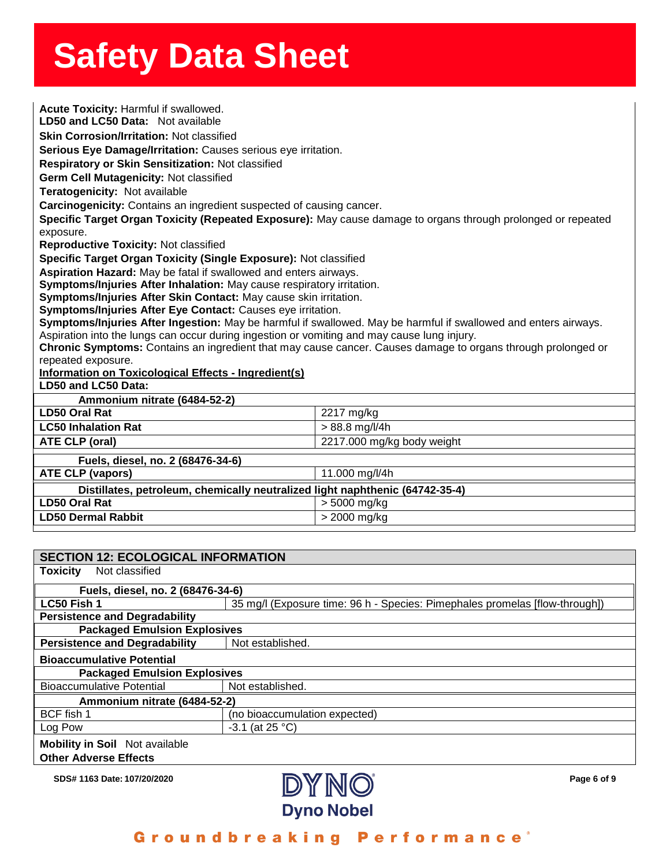**Solution Servers Sherror Sherror Sherror Sherror Sherror Sherror Sherror Sherror Sherror Sherror Sherror Sherr<br>The Toxicity: Harmful if swallowed. LD50 and LC50 Data:** Not avallable<br>**Skin Corrosion/Irritation:** Not classified<br>**Serious Eye Damage/Irritation:** Causes serious eye irritation. **LD50 and LC50 Data:** Not available**Skin Corrosion/Irritation:** Not classified **Respiratory or Skin Sensitization:** Not classified **Germ Cell Mutagenicity:** Not classified**Teratogenicity:** Not available**Carcinogenicity:** Contains an ingredient suspected of causing cancer. **Specific Target Organ Toxicity (Repeated Exposure):** May cause damage to organs through prolonged or repeated exposure. **Reproductive Toxicity:** Not classified **Specific Target Organ Toxicity (Single Exposure):** Not classified **Aspiration Hazard:** May be fatal if swallowed and enters airways. **Symptoms/Injuries After Inhalation:** May cause respiratory irritation. **Symptoms/Injuries After Skin Contact:** May cause skin irritation. **Symptoms/Injuries After Eye Contact:** Causes eye irritation. **Symptoms/Injuries After Ingestion:** May be harmful if swallowed. May be harmful if swallowed and enters airways. Aspiration into the lungs can occur during ingestion or vomiting and may cause lung injury. **Chronic Symptoms:** Contains an ingredient that may cause cancer. Causes damage to organs through prolonged or repeated exposure. **Information on Toxicological Effects - Ingredient(s) LD50 and LC50 Data: Ammonium nitrate (6484-52-2) LD50 Oral Rat** 2217 mg/kg **LC50 Inhalation Rat**  $> 88.8$  mg/l/4h **ATE CLP (oral)** 2217.000 mg/kg body weight **Fuels, diesel, no. 2 (68476-34-6) ATE CLP (vapors)** 11.000 mg/l/4h **Distillates, petroleum, chemically neutralized light naphthenic (64742-35-4) LD50 Oral Rat**  $\vert$  > 5000 mg/kg **LD50 Dermal Rabbit**  $>$  2000 mg/kg

| <b>SECTION 12: ECOLOGICAL INFORMATION</b>                             |                                                                             |  |  |  |  |
|-----------------------------------------------------------------------|-----------------------------------------------------------------------------|--|--|--|--|
| Not classified<br><b>Toxicity</b>                                     |                                                                             |  |  |  |  |
|                                                                       | Fuels, diesel, no. 2 (68476-34-6)                                           |  |  |  |  |
| LC50 Fish 1                                                           | 35 mg/l (Exposure time: 96 h - Species: Pimephales promelas [flow-through]) |  |  |  |  |
| <b>Persistence and Degradability</b>                                  |                                                                             |  |  |  |  |
| <b>Packaged Emulsion Explosives</b>                                   |                                                                             |  |  |  |  |
| <b>Persistence and Degradability</b>                                  | Not established.                                                            |  |  |  |  |
| <b>Bioaccumulative Potential</b>                                      |                                                                             |  |  |  |  |
| <b>Packaged Emulsion Explosives</b>                                   |                                                                             |  |  |  |  |
| <b>Bioaccumulative Potential</b>                                      | Not established.                                                            |  |  |  |  |
| Ammonium nitrate (6484-52-2)                                          |                                                                             |  |  |  |  |
| BCF fish 1                                                            | (no bioaccumulation expected)                                               |  |  |  |  |
| Log Pow                                                               | $-3.1$ (at 25 °C)                                                           |  |  |  |  |
| <b>Mobility in Soil</b> Not available<br><b>Other Adverse Effects</b> |                                                                             |  |  |  |  |

**SDS# 1163 Date: 107/20/2020 Page 6 of 9**



Groundbreaking Performance°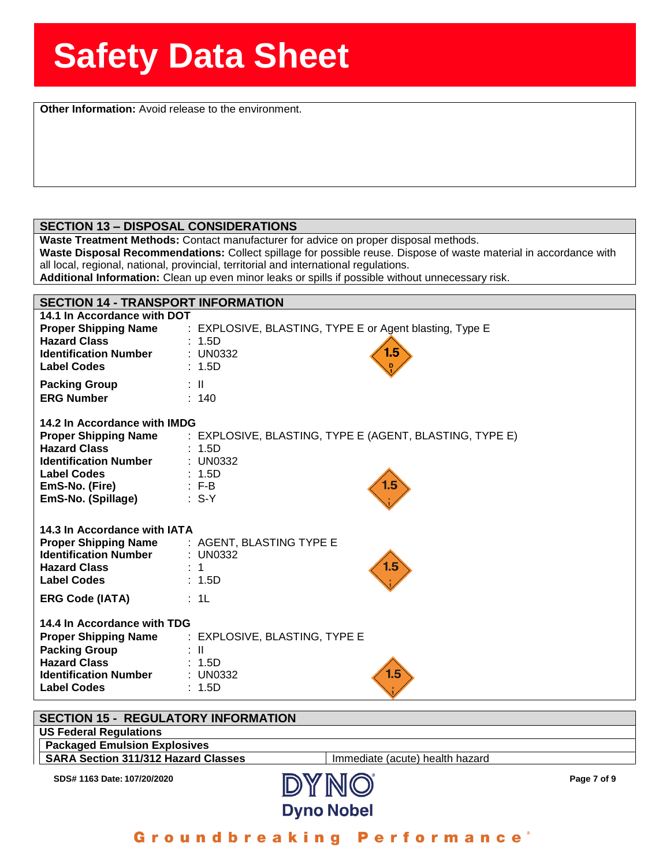**Solution Information:** Avoid release to the environment.

#### **SECTION 13 – DISPOSAL CONSIDERATIONS**

**Waste Treatment Methods:** Contact manufacturer for advice on proper disposal methods.

**Waste Disposal Recommendations:** Collect spillage for possible reuse. Dispose of waste material in accordance with all local, regional, national, provincial, territorial and international regulations.

**Additional Information:** Clean up even minor leaks or spills if possible without unnecessary risk.

| <b>SECTION 14 - TRANSPORT INFORMATION</b> |                                                         |  |  |  |
|-------------------------------------------|---------------------------------------------------------|--|--|--|
| 14.1 In Accordance with DOT               | : EXPLOSIVE, BLASTING, TYPE E or Agent blasting, Type E |  |  |  |
| <b>Proper Shipping Name</b>               | : 1.5D                                                  |  |  |  |
| <b>Hazard Class</b>                       | 1.5                                                     |  |  |  |
| <b>Identification Number</b>              | $\pm$ UN0332                                            |  |  |  |
| <b>Label Codes</b>                        | : 1.5D                                                  |  |  |  |
| <b>Packing Group</b>                      | $\mathbb{R}^{\mathbb{N}}$                               |  |  |  |
| <b>ERG Number</b>                         | : 140                                                   |  |  |  |
| 14.2 In Accordance with IMDG              | : EXPLOSIVE, BLASTING, TYPE E (AGENT, BLASTING, TYPE E) |  |  |  |
| <b>Proper Shipping Name</b>               | : 1.5D                                                  |  |  |  |
| <b>Hazard Class</b>                       | : UN0332                                                |  |  |  |
| <b>Identification Number</b>              | : 1.5D                                                  |  |  |  |
| <b>Label Codes</b>                        | 1.5                                                     |  |  |  |
| <b>EmS-No. (Fire)</b>                     | $E - B$                                                 |  |  |  |
| EmS-No. (Spillage)                        | $\therefore$ S-Y                                        |  |  |  |
| 14.3 In Accordance with IATA              | : AGENT, BLASTING TYPE E                                |  |  |  |
| <b>Proper Shipping Name</b>               | : UN0332                                                |  |  |  |
| <b>Identification Number</b>              | 1.5                                                     |  |  |  |
| <b>Hazard Class</b>                       | $\div$ 1                                                |  |  |  |
| <b>Label Codes</b>                        | : 1.5D                                                  |  |  |  |
| <b>ERG Code (IATA)</b>                    | $\div$ 1L                                               |  |  |  |
| 14.4 In Accordance with TDG               | : EXPLOSIVE, BLASTING, TYPE E                           |  |  |  |
| <b>Proper Shipping Name</b>               | : II                                                    |  |  |  |
| <b>Packing Group</b>                      | : 1.5D                                                  |  |  |  |
| <b>Hazard Class</b>                       | 1.5                                                     |  |  |  |
| <b>Identification Number</b>              | $:$ UN0332                                              |  |  |  |
| <b>Label Codes</b>                        | : 1.5D                                                  |  |  |  |



Groundbreaking Performance<sup>®</sup>

**Dyno Nobel**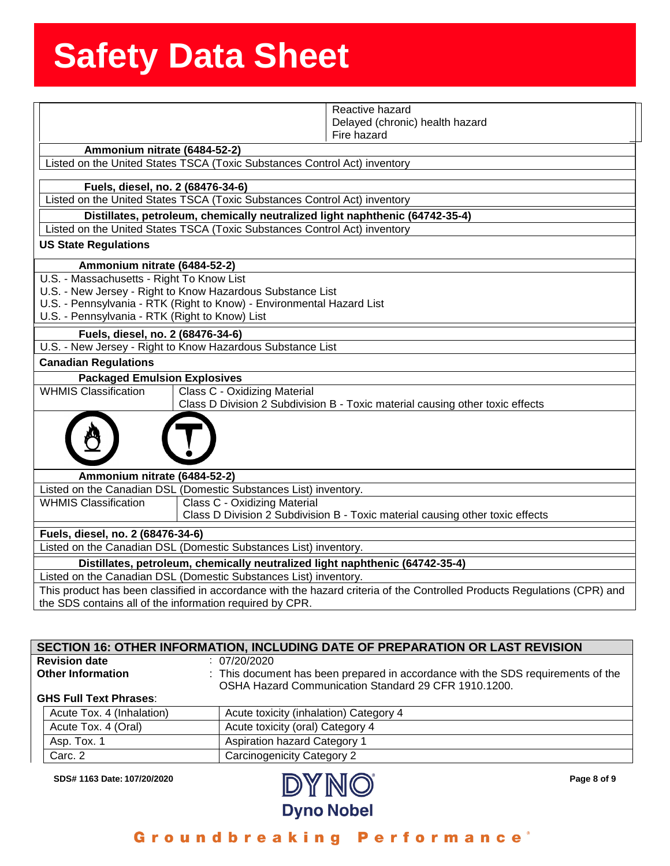|                                                                                                                                                                                      | Reactive hazard                                                               |  |  |  |
|--------------------------------------------------------------------------------------------------------------------------------------------------------------------------------------|-------------------------------------------------------------------------------|--|--|--|
|                                                                                                                                                                                      | Delayed (chronic) health hazard                                               |  |  |  |
|                                                                                                                                                                                      | Fire hazard                                                                   |  |  |  |
| Ammonium nitrate (6484-52-2)                                                                                                                                                         |                                                                               |  |  |  |
|                                                                                                                                                                                      | Listed on the United States TSCA (Toxic Substances Control Act) inventory     |  |  |  |
| Fuels, diesel, no. 2 (68476-34-6)                                                                                                                                                    |                                                                               |  |  |  |
|                                                                                                                                                                                      | Listed on the United States TSCA (Toxic Substances Control Act) inventory     |  |  |  |
|                                                                                                                                                                                      | Distillates, petroleum, chemically neutralized light naphthenic (64742-35-4)  |  |  |  |
|                                                                                                                                                                                      | Listed on the United States TSCA (Toxic Substances Control Act) inventory     |  |  |  |
| <b>US State Regulations</b>                                                                                                                                                          |                                                                               |  |  |  |
|                                                                                                                                                                                      |                                                                               |  |  |  |
| Ammonium nitrate (6484-52-2)                                                                                                                                                         |                                                                               |  |  |  |
| U.S. - Massachusetts - Right To Know List                                                                                                                                            |                                                                               |  |  |  |
|                                                                                                                                                                                      | U.S. - New Jersey - Right to Know Hazardous Substance List                    |  |  |  |
|                                                                                                                                                                                      | U.S. - Pennsylvania - RTK (Right to Know) - Environmental Hazard List         |  |  |  |
| U.S. - Pennsylvania - RTK (Right to Know) List                                                                                                                                       |                                                                               |  |  |  |
| Fuels, diesel, no. 2 (68476-34-6)                                                                                                                                                    |                                                                               |  |  |  |
|                                                                                                                                                                                      | U.S. - New Jersey - Right to Know Hazardous Substance List                    |  |  |  |
| <b>Canadian Regulations</b>                                                                                                                                                          |                                                                               |  |  |  |
| <b>Packaged Emulsion Explosives</b>                                                                                                                                                  |                                                                               |  |  |  |
| <b>WHMIS Classification</b>                                                                                                                                                          | Class C - Oxidizing Material                                                  |  |  |  |
|                                                                                                                                                                                      | Class D Division 2 Subdivision B - Toxic material causing other toxic effects |  |  |  |
|                                                                                                                                                                                      |                                                                               |  |  |  |
| Ammonium nitrate (6484-52-2)                                                                                                                                                         |                                                                               |  |  |  |
|                                                                                                                                                                                      | Listed on the Canadian DSL (Domestic Substances List) inventory.              |  |  |  |
| <b>WHMIS Classification</b>                                                                                                                                                          | Class C - Oxidizing Material                                                  |  |  |  |
| Class D Division 2 Subdivision B - Toxic material causing other toxic effects                                                                                                        |                                                                               |  |  |  |
| Fuels, diesel, no. 2 (68476-34-6)                                                                                                                                                    |                                                                               |  |  |  |
| Listed on the Canadian DSL (Domestic Substances List) inventory.                                                                                                                     |                                                                               |  |  |  |
| Distillates, petroleum, chemically neutralized light naphthenic (64742-35-4)                                                                                                         |                                                                               |  |  |  |
| Listed on the Canadian DSL (Domestic Substances List) inventory.                                                                                                                     |                                                                               |  |  |  |
| This product has been classified in accordance with the hazard criteria of the Controlled Products Regulations (CPR) and<br>the SDS contains all of the information required by CPR. |                                                                               |  |  |  |

| <b>SECTION 16: OTHER INFORMATION, INCLUDING DATE OF PREPARATION OR LAST REVISION</b> |                                                                                  |  |  |
|--------------------------------------------------------------------------------------|----------------------------------------------------------------------------------|--|--|
| <b>Revision date</b>                                                                 | : 07/20/2020                                                                     |  |  |
| <b>Other Information</b>                                                             | : This document has been prepared in accordance with the SDS requirements of the |  |  |
|                                                                                      | OSHA Hazard Communication Standard 29 CFR 1910.1200.                             |  |  |
| <b>GHS Full Text Phrases:</b>                                                        |                                                                                  |  |  |
| Acute Tox. 4 (Inhalation)                                                            | Acute toxicity (inhalation) Category 4                                           |  |  |
| Acute Tox. 4 (Oral)                                                                  | Acute toxicity (oral) Category 4                                                 |  |  |
| Asp. Tox. 1                                                                          | <b>Aspiration hazard Category 1</b>                                              |  |  |
| Carc. 2                                                                              | Carcinogenicity Category 2                                                       |  |  |



Groundbreaking Performance<sup>®</sup>